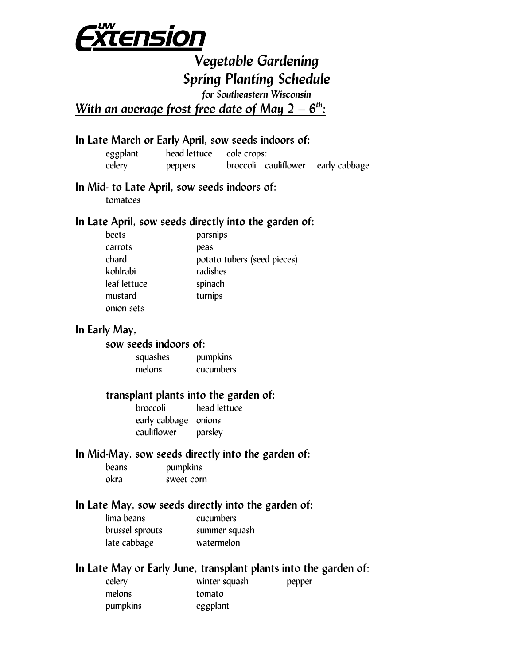

# *Vegetable Gardening Spring Planting Schedule*

*for Southeastern Wisconsin* 

*With an average frost free date of May 2 – 6<sup>th</sup>:* 

#### **In Late March or Early April, sow seeds indoors of:**

 eggplant head lettuce cole crops: celery peppers broccoli cauliflower early cabbage

#### **In Mid- to Late April, sow seeds indoors of:**

tomatoes

#### **In Late April, sow seeds directly into the garden of:**

| beets        | parsnips                    |
|--------------|-----------------------------|
| carrots      | peas                        |
| chard        | potato tubers (seed pieces) |
| kohlrabi     | radishes                    |
| leaf lettuce | spinach                     |
| mustard      | turnips                     |
| onion sets   |                             |

#### **In Early May,**

#### **sow seeds indoors of:**

squashes pumpkins melons cucumbers

#### **transplant plants into the garden of:**

 broccoli head lettuce early cabbage onions cauliflower parsley

#### **In Mid-May, sow seeds directly into the garden of:**

| <b>beans</b> | pumpkins   |
|--------------|------------|
| okra         | sweet corn |

### **In Late May, sow seeds directly into the garden of:**

| lima beans      | cucumbers     |
|-----------------|---------------|
| brussel sprouts | summer squash |
| late cabbage    | watermelon    |

#### **In Late May or Early June, transplant plants into the garden of:**

| celery   | winter squash | pepper |
|----------|---------------|--------|
| melons   | tomato        |        |
| pumpkins | eggplant      |        |